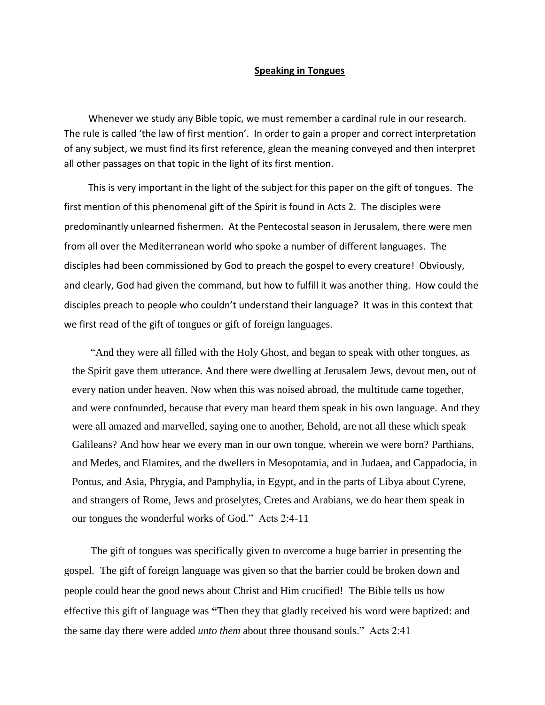## **Speaking in Tongues**

 Whenever we study any Bible topic, we must remember a cardinal rule in our research. The rule is called 'the law of first mention'. In order to gain a proper and correct interpretation of any subject, we must find its first reference, glean the meaning conveyed and then interpret all other passages on that topic in the light of its first mention.

 This is very important in the light of the subject for this paper on the gift of tongues. The first mention of this phenomenal gift of the Spirit is found in Acts 2. The disciples were predominantly unlearned fishermen. At the Pentecostal season in Jerusalem, there were men from all over the Mediterranean world who spoke a number of different languages. The disciples had been commissioned by God to preach the gospel to every creature! Obviously, and clearly, God had given the command, but how to fulfill it was another thing. How could the disciples preach to people who couldn't understand their language? It was in this context that we first read of the gift of tongues or gift of foreign languages.

 ["And they were all filled with the Holy Ghost, and began to speak with other tongues, as](http://www.kingjamesbibleonline.org/Acts-2-4/)  [the Spirit gave them utterance.](http://www.kingjamesbibleonline.org/Acts-2-4/) [And there were dwelling at Jerusalem Jews, devout men, out of](http://www.kingjamesbibleonline.org/Acts-2-5/)  [every nation under heaven.](http://www.kingjamesbibleonline.org/Acts-2-5/) [Now when this was noised abroad, the multitude came together,](http://www.kingjamesbibleonline.org/Acts-2-6/)  [and were confounded, because that every man heard them speak in his own language.](http://www.kingjamesbibleonline.org/Acts-2-6/) [And they](http://www.kingjamesbibleonline.org/Acts-2-7/)  [were all amazed and marvelled, saying one to another, Behold, are not all these which speak](http://www.kingjamesbibleonline.org/Acts-2-7/)  [Galileans?](http://www.kingjamesbibleonline.org/Acts-2-7/) [And how hear we every man in our own tongue, wherein we were born?](http://www.kingjamesbibleonline.org/Acts-2-8/) [Parthians,](http://www.kingjamesbibleonline.org/Acts-2-9/)  [and Medes, and Elamites, and the dwellers in Mesopotamia, and in Judaea, and Cappadocia, in](http://www.kingjamesbibleonline.org/Acts-2-9/)  [Pontus, and Asia,](http://www.kingjamesbibleonline.org/Acts-2-9/) [Phrygia, and Pamphylia, in Egypt, and in the parts of Libya about Cyrene,](http://www.kingjamesbibleonline.org/Acts-2-10/)  and strangers [of Rome, Jews and proselytes,](http://www.kingjamesbibleonline.org/Acts-2-10/) [Cretes and Arabians, we do hear them speak in](http://www.kingjamesbibleonline.org/Acts-2-11/)  [our tongues the wonderful works of God."](http://www.kingjamesbibleonline.org/Acts-2-11/) Acts 2:4-11

The gift of tongues was specifically given to overcome a huge barrier in presenting the gospel. The gift of foreign language was given so that the barrier could be broken down and people could hear the good news about Christ and Him crucified! The Bible tells us how effective this gift of language was **"**Then they that gladly received his word were baptized: and the same day there were added *unto them* about three thousand souls." Acts 2:41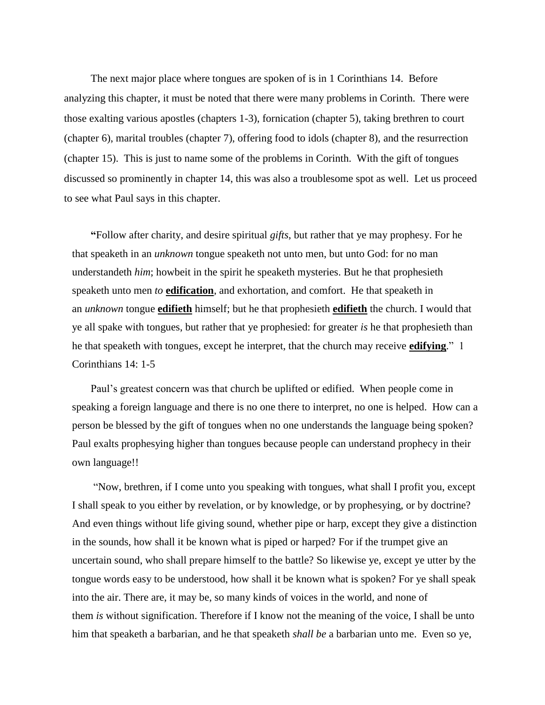The next major place where tongues are spoken of is in 1 Corinthians 14. Before analyzing this chapter, it must be noted that there were many problems in Corinth. There were those exalting various apostles (chapters 1-3), fornication (chapter 5), taking brethren to court (chapter 6), marital troubles (chapter 7), offering food to idols (chapter 8), and the resurrection (chapter 15). This is just to name some of the problems in Corinth. With the gift of tongues discussed so prominently in chapter 14, this was also a troublesome spot as well. Let us proceed to see what Paul says in this chapter.

 **"**[Follow after charity, and desire spiritual](http://www.kingjamesbibleonline.org/1-Corinthians-14-1/) *gifts*, but rather that ye may prophesy. [For he](http://www.kingjamesbibleonline.org/1-Corinthians-14-2/)  that speaketh in an *unknown* [tongue speaketh not unto men, but unto God: for no man](http://www.kingjamesbibleonline.org/1-Corinthians-14-2/)  understandeth *him*[; howbeit in the spirit he speaketh mysteries.](http://www.kingjamesbibleonline.org/1-Corinthians-14-2/) [But he that prophesieth](http://www.kingjamesbibleonline.org/1-Corinthians-14-3/)  speaketh unto men *to* **edification**[, and exhortation, and comfort.](http://www.kingjamesbibleonline.org/1-Corinthians-14-3/) [He that speaketh in](http://www.kingjamesbibleonline.org/1-Corinthians-14-4/)  an *unknown* tongue **edifieth** [himself; but he that prophesieth](http://www.kingjamesbibleonline.org/1-Corinthians-14-4/) **edifieth** the church. [I would that](http://www.kingjamesbibleonline.org/1-Corinthians-14-5/)  [ye all spake with tongues, but rather that ye prophesied: for greater](http://www.kingjamesbibleonline.org/1-Corinthians-14-5/) *is* he that prophesieth than [he that speaketh with tongues, except he interpret, that the church may receive](http://www.kingjamesbibleonline.org/1-Corinthians-14-5/) **edifying**." 1 Corinthians 14: 1-5

Paul's greatest concern was that church be uplifted or edified. When people come in speaking a foreign language and there is no one there to interpret, no one is helped. How can a person be blessed by the gift of tongues when no one understands the language being spoken? Paul exalts prophesying higher than tongues because people can understand prophecy in their own language!!

 ["Now, brethren, if I come unto you speaking with tongues, what shall I profit you, except](http://www.kingjamesbibleonline.org/1-Corinthians-14-6/)  [I shall speak to you either by revelation, or by knowledge, or by prophesying, or by doctrine?](http://www.kingjamesbibleonline.org/1-Corinthians-14-6/) [And even things without life giving sound, whether pipe or harp, except they give a distinction](http://www.kingjamesbibleonline.org/1-Corinthians-14-7/)  [in the sounds, how shall it be known what is piped or harped?](http://www.kingjamesbibleonline.org/1-Corinthians-14-7/) [For if the trumpet give an](http://www.kingjamesbibleonline.org/1-Corinthians-14-8/)  [uncertain sound, who shall prepare himself to the battle?](http://www.kingjamesbibleonline.org/1-Corinthians-14-8/) [So likewise ye, except ye utter by the](http://www.kingjamesbibleonline.org/1-Corinthians-14-9/)  [tongue words easy to be understood, how shall it be known what is spoken? For ye shall speak](http://www.kingjamesbibleonline.org/1-Corinthians-14-9/)  [into the air.](http://www.kingjamesbibleonline.org/1-Corinthians-14-9/) [There are, it may be, so many kinds of voices in the world, and none of](http://www.kingjamesbibleonline.org/1-Corinthians-14-10/)  them *is* [without signification.](http://www.kingjamesbibleonline.org/1-Corinthians-14-10/) [Therefore if I know not the meaning of the voice, I shall be unto](http://www.kingjamesbibleonline.org/1-Corinthians-14-11/)  [him that speaketh a barbarian, and he that speaketh](http://www.kingjamesbibleonline.org/1-Corinthians-14-11/) *shall be* a barbarian unto me. [Even so ye,](http://www.kingjamesbibleonline.org/1-Corinthians-14-12/)